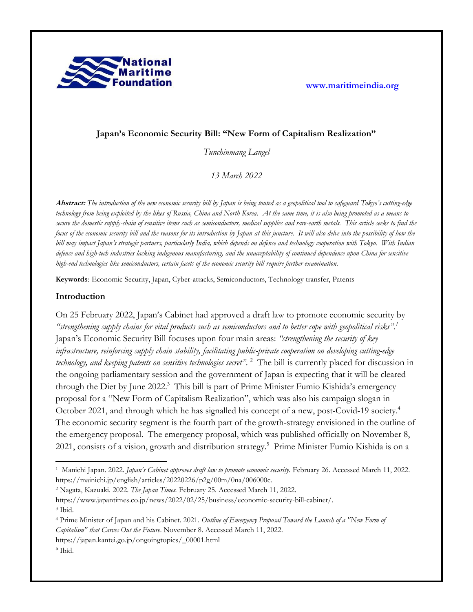

# **Japan's Economic Security Bill: "New Form of Capitalism Realization"**

*Tunchinmang Langel*

*13 March 2022*

**Abstract:** *The introduction of the new economic security bill by Japan is being touted as a geopolitical tool to safeguard Tokyo's cutting-edge technology from being exploited by the likes of Russia, China and North Korea. At the same time, it is also being promoted as a means to secure the domestic supply-chain of sensitive items such as semiconductors, medical supplies and rare-earth metals. This article seeks to find the focus of the economic security bill and the reasons for its introduction by Japan at this juncture. It will also delve into the possibility of how the bill may impact Japan's strategic partners, particularly India, which depends on defence and technology cooperation with Tokyo. With Indian defence and high-tech industries lacking indigenous manufacturing, and the unacceptability of continued dependence upon China for sensitive high-end technologies like semiconductors, certain facets of the economic security bill require further examination.*

**Keywords**: Economic Security, Japan, Cyber-attacks, Semiconductors, Technology transfer, Patents

#### **Introduction**

On 25 February 2022, Japan's Cabinet had approved a draft law to promote economic security by *"strengthening supply chains for vital products such as semiconductors and to better cope with geopolitical risks".<sup>1</sup>* Japan's Economic Security Bill focuses upon four main areas: *"strengthening the security of key infrastructure, reinforcing supply chain stability, facilitating public-private cooperation on developing cutting-edge technology, and keeping patents on sensitive technologies secret"*. <sup>2</sup> The bill is currently placed for discussion in the ongoing parliamentary session and the government of Japan is expecting that it will be cleared through the Diet by June 2022.<sup>3</sup> This bill is part of Prime Minister Fumio Kishida's emergency proposal for a "New Form of Capitalism Realization", which was also his campaign slogan in October 2021, and through which he has signalled his concept of a new, post-Covid-19 society.<sup>4</sup> The economic security segment is the fourth part of the growth-strategy envisioned in the outline of the emergency proposal. The emergency proposal, which was published officially on November 8, 2021, consists of a vision, growth and distribution strategy.<sup>5</sup> Prime Minister Fumio Kishida is on a

<sup>2</sup> Nagata, Kazuaki. 2022. *The Japan Times.* February 25. Accessed March 11, 2022.

https://www.japantimes.co.jp/news/2022/02/25/business/economic-security-bill-cabinet/. <sup>3</sup> Ibid.

<sup>1</sup> Manichi Japan. 2022. *Japan's Cabinet approves draft law to promote economic security.* February 26. Accessed March 11, 2022. https://mainichi.jp/english/articles/20220226/p2g/00m/0na/006000c.

<sup>4</sup> Prime Minister of Japan and his Cabinet. 2021. *Outline of Emergency Proposal Toward the Launch of a "New Form of Capitalism" that Carves Out the Future*. November 8. Accessed March 11, 2022.

https://japan.kantei.go.jp/ongoingtopics/\_00001.html

<sup>5</sup> Ibid.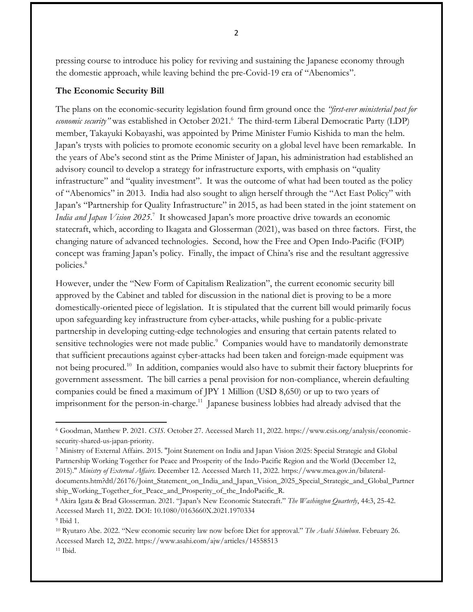pressing course to introduce his policy for reviving and sustaining the Japanese economy through the domestic approach, while leaving behind the pre-Covid-19 era of "Abenomics".

## **The Economic Security Bill**

The plans on the economic-security legislation found firm ground once the *"first-ever ministerial post for economic security*" was established in October 2021.<sup>6</sup> The third-term Liberal Democratic Party (LDP) member, Takayuki Kobayashi, was appointed by Prime Minister Fumio Kishida to man the helm. Japan's trysts with policies to promote economic security on a global level have been remarkable. In the years of Abe's second stint as the Prime Minister of Japan, his administration had established an advisory council to develop a strategy for infrastructure exports, with emphasis on "quality infrastructure" and "quality investment". It was the outcome of what had been touted as the policy of "Abenomics" in 2013. India had also sought to align herself through the "Act East Policy" with Japan's "Partnership for Quality Infrastructure" in 2015, as had been stated in the joint statement on India and Japan Vision 2025.<sup>7</sup> It showcased Japan's more proactive drive towards an economic statecraft, which, according to Ikagata and Glosserman (2021), was based on three factors. First, the changing nature of advanced technologies. Second, how the Free and Open Indo-Pacific (FOIP) concept was framing Japan's policy. Finally, the impact of China's rise and the resultant aggressive policies.<sup>8</sup>

However, under the "New Form of Capitalism Realization", the current economic security bill approved by the Cabinet and tabled for discussion in the national diet is proving to be a more domestically-oriented piece of legislation. It is stipulated that the current bill would primarily focus upon safeguarding key infrastructure from cyber-attacks, while pushing for a public-private partnership in developing cutting-edge technologies and ensuring that certain patents related to sensitive technologies were not made public.<sup>9</sup> Companies would have to mandatorily demonstrate that sufficient precautions against cyber-attacks had been taken and foreign-made equipment was not being procured. 10 In addition, companies would also have to submit their factory blueprints for government assessment. The bill carries a penal provision for non-compliance, wherein defaulting companies could be fined a maximum of JPY 1 Million (USD 8,650) or up to two years of imprisonment for the person-in-charge.<sup>11</sup> Japanese business lobbies had already advised that the

<sup>6</sup> Goodman, Matthew P. 2021. *CSIS.* October 27. Accessed March 11, 2022. https://www.csis.org/analysis/economicsecurity-shared-us-japan-priority.

<sup>7</sup> Ministry of External Affairs. 2015. "Joint Statement on India and Japan Vision 2025: Special Strategic and Global Partnership Working Together for Peace and Prosperity of the Indo-Pacific Region and the World (December 12, 2015)." *Ministry of External Affairs.* December 12. Accessed March 11, 2022. https://www.mea.gov.in/bilateraldocuments.htm?dtl/26176/Joint\_Statement\_on\_India\_and\_Japan\_Vision\_2025\_Special\_Strategic\_and\_Global\_Partner ship\_Working\_Together\_for\_Peace\_and\_Prosperity\_of\_the\_IndoPacific\_R.

<sup>8</sup> Akira Igata & Brad Glosserman. 2021. "Japan's New Economic Statecraft." *The Washington Quarterly*, 44:3, 25-42. Accessed March 11, 2022. DOI: 10.1080/0163660X.2021.1970334

<sup>9</sup> Ibid 1.

<sup>10</sup> Ryutaro Abe. 2022. "New economic security law now before Diet for approval." *The Asahi Shimbun*. February 26. Accessed March 12, 2022. https://www.asahi.com/ajw/articles/14558513 <sup>11</sup> Ibid.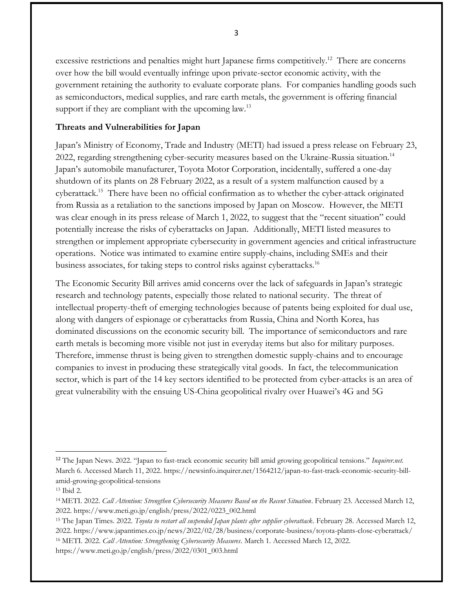excessive restrictions and penalties might hurt Japanese firms competitively.<sup>12</sup> There are concerns over how the bill would eventually infringe upon private-sector economic activity, with the government retaining the authority to evaluate corporate plans. For companies handling goods such as semiconductors, medical supplies, and rare earth metals, the government is offering financial support if they are compliant with the upcoming law.<sup>13</sup>

### **Threats and Vulnerabilities for Japan**

Japan's Ministry of Economy, Trade and Industry (METI) had issued a press release on February 23, 2022, regarding strengthening cyber-security measures based on the Ukraine-Russia situation.<sup>14</sup> Japan's automobile manufacturer, Toyota Motor Corporation, incidentally, suffered a one-day shutdown of its plants on 28 February 2022, as a result of a system malfunction caused by a cyberattack.<sup>15</sup> There have been no official confirmation as to whether the cyber-attack originated from Russia as a retaliation to the sanctions imposed by Japan on Moscow. However, the METI was clear enough in its press release of March 1, 2022, to suggest that the "recent situation" could potentially increase the risks of cyberattacks on Japan. Additionally, METI listed measures to strengthen or implement appropriate cybersecurity in government agencies and critical infrastructure operations. Notice was intimated to examine entire supply-chains, including SMEs and their business associates, for taking steps to control risks against cyberattacks.<sup>16</sup>

The Economic Security Bill arrives amid concerns over the lack of safeguards in Japan's strategic research and technology patents, especially those related to national security. The threat of intellectual property-theft of emerging technologies because of patents being exploited for dual use, along with dangers of espionage or cyberattacks from Russia, China and North Korea, has dominated discussions on the economic security bill. The importance of semiconductors and rare earth metals is becoming more visible not just in everyday items but also for military purposes. Therefore, immense thrust is being given to strengthen domestic supply-chains and to encourage companies to invest in producing these strategically vital goods. In fact, the telecommunication sector, which is part of the 14 key sectors identified to be protected from cyber-attacks is an area of great vulnerability with the ensuing US-China geopolitical rivalry over Huawei's 4G and 5G

3

<sup>12</sup> The Japan News. 2022. "Japan to fast-track economic security bill amid growing geopolitical tensions." *Inquirer.net.* March 6. Accessed March 11, 2022. https://newsinfo.inquirer.net/1564212/japan-to-fast-track-economic-security-billamid-growing-geopolitical-tensions

<sup>13</sup> Ibid 2.

<sup>14</sup> METI. 2022. *Call Attention: Strengthen Cybersecurity Measures Based on the Recent Situation*. February 23. Accessed March 12, 2022. https://www.meti.go.jp/english/press/2022/0223\_002.html

<sup>15</sup> The Japan Times. 2022. *Toyota to restart all suspended Japan plants after supplier cyberattack*. February 28. Accessed March 12, 2022. https://www.japantimes.co.jp/news/2022/02/28/business/corporate-business/toyota-plants-close-cyberattack/ <sup>16</sup> METI. 2022. *Call Attention: Strengthening Cybersecurity Measures*. March 1. Accessed March 12, 2022. https://www.meti.go.jp/english/press/2022/0301\_003.html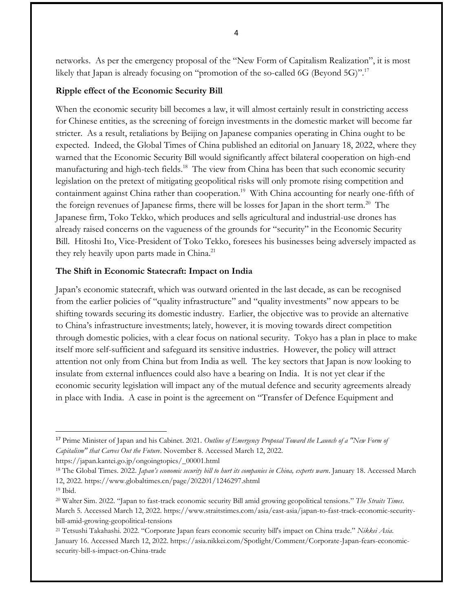networks. As per the emergency proposal of the "New Form of Capitalism Realization", it is most likely that Japan is already focusing on "promotion of the so-called 6G (Beyond 5G)".<sup>17</sup>

## **Ripple effect of the Economic Security Bill**

When the economic security bill becomes a law, it will almost certainly result in constricting access for Chinese entities, as the screening of foreign investments in the domestic market will become far stricter. As a result, retaliations by Beijing on Japanese companies operating in China ought to be expected. Indeed, the Global Times of China published an editorial on January 18, 2022, where they warned that the Economic Security Bill would significantly affect bilateral cooperation on high-end manufacturing and high-tech fields.<sup>18</sup> The view from China has been that such economic security legislation on the pretext of mitigating geopolitical risks will only promote rising competition and containment against China rather than cooperation.<sup>19</sup> With China accounting for nearly one-fifth of the foreign revenues of Japanese firms, there will be losses for Japan in the short term.<sup>20</sup> The Japanese firm, Toko Tekko, which produces and sells agricultural and industrial-use drones has already raised concerns on the vagueness of the grounds for "security" in the Economic Security Bill. Hitoshi Ito, Vice-President of Toko Tekko, foresees his businesses being adversely impacted as they rely heavily upon parts made in China. 21

### **The Shift in Economic Statecraft: Impact on India**

Japan's economic statecraft, which was outward oriented in the last decade, as can be recognised from the earlier policies of "quality infrastructure" and "quality investments" now appears to be shifting towards securing its domestic industry. Earlier, the objective was to provide an alternative to China's infrastructure investments; lately, however, it is moving towards direct competition through domestic policies, with a clear focus on national security. Tokyo has a plan in place to make itself more self-sufficient and safeguard its sensitive industries. However, the policy will attract attention not only from China but from India as well. The key sectors that Japan is now looking to insulate from external influences could also have a bearing on India. It is not yet clear if the economic security legislation will impact any of the mutual defence and security agreements already in place with India. A case in point is the agreement on "Transfer of Defence Equipment and

https://japan.kantei.go.jp/ongoingtopics/\_00001.html

<sup>17</sup> Prime Minister of Japan and his Cabinet. 2021. *Outline of Emergency Proposal Toward the Launch of a "New Form of Capitalism" that Carves Out the Future*. November 8. Accessed March 12, 2022.

<sup>18</sup> The Global Times. 2022. *Japan's economic security bill to hurt its companies in China, experts warn*. January 18. Accessed March 12, 2022. https://www.globaltimes.cn/page/202201/1246297.shtml

<sup>19</sup> Ibid.

<sup>20</sup> Walter Sim. 2022. "Japan to fast-track economic security Bill amid growing geopolitical tensions." *The Straits Times*. March 5. Accessed March 12, 2022. https://www.straitstimes.com/asia/east-asia/japan-to-fast-track-economic-securitybill-amid-growing-geopolitical-tensions

<sup>21</sup> Tetsushi Takahashi. 2022. "Corporate Japan fears economic security bill's impact on China trade." *Nikkei Asia*. January 16. Accessed March 12, 2022. https://asia.nikkei.com/Spotlight/Comment/Corporate-Japan-fears-economicsecurity-bill-s-impact-on-China-trade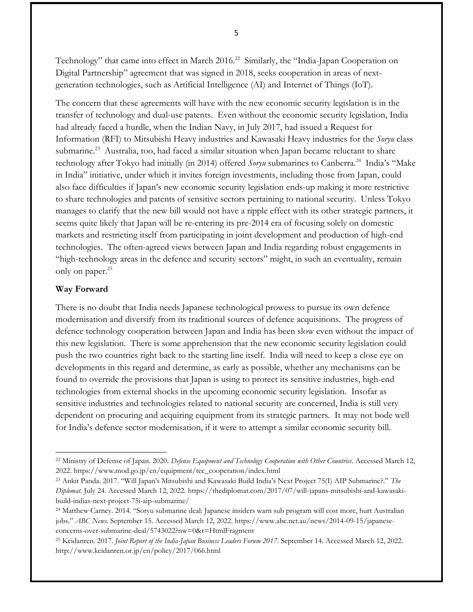Technology" that came into effect in March 2016.<sup>22</sup> Similarly, the "India-Japan Cooperation on Digital Partnership" agreement that was signed in 2018, seeks cooperation in areas of nextgeneration technologies, such as Artificial Intelligence (AI) and Internet of Things (IoT).

The concern that these agreements will have with the new economic security legislation is in the transfer of technology and dual-use patents. Even without the economic security legislation, India had already faced a hurdle, when the Indian Navy, in July 2017, had issued a Request for Information (RFI) to Mitsubishi Heavy industries and Kawasaki Heavy industries for the *Soryu* class submarine.<sup>23</sup> Australia, too, had faced a similar situation when Japan became reluctant to share technology after Tokyo had initially (in 2014) offered Soryu submarines to Canberra.<sup>24</sup> India's "Make in India" initiative, under which it invites foreign investments, including those from Japan, could also face difficulties if Japan's new economic security legislation ends-up making it more restrictive to share technologies and patents of sensitive sectors pertaining to national security. Unless Tokyo manages to clarify that the new bill would not have a ripple effect with its other strategic partners, it seems quite likely that Japan will be re-entering its pre-2014 era of focusing solely on domestic markets and restricting itself from participating in joint development and production of high-end technologies. The often-agreed views between Japan and India regarding robust engagements in "high-technology areas in the defence and security sectors" might, in such an eventuality, remain only on paper.<sup>25</sup>

#### **Way Forward**

There is no doubt that India needs Japanese technological prowess to pursue its own defence modernisation and diversify from its traditional sources of defence acquisitions. The progress of defence technology cooperation between Japan and India has been slow even without the impact of this new legislation. There is some apprehension that the new economic security legislation could push the two countries right back to the starting line itself. India will need to keep a close eye on developments in this regard and determine, as early as possible, whether any mechanisms can be found to override the provisions that Japan is using to protect its sensitive industries, high-end technologies from external shocks in the upcoming economic security legislation. Insofar as sensitive industries and technologies related to national security are concerned, India is still very dependent on procuring and acquiring equipment from its strategic partners. It may not bode well for India's defence sector modernisation, if it were to attempt a similar economic security bill.

5

<sup>22</sup> Ministry of Defense of Japan. 2020. *Defense Equipment and Technology Cooperation with Other Countries*. Accessed March 12, 2022. https://www.mod.go.jp/en/equipment/tec\_cooperation/index.html

<sup>23</sup> Ankit Panda. 2017. "Will Japan's Mitsubishi and Kawasaki Build India's Next Project 75(I) AIP Submarine?." *The Diplomat.* July 24. Accessed March 12, 2022. https://thediplomat.com/2017/07/will-japans-mitsubishi-and-kawasakibuild-indias-next-project-75i-aip-submarine/

<sup>24</sup> Matthew Carney. 2014. "Soryu submarine deal: Japanese insiders warn sub program will cost more, hurt Australian jobs." *ABC News.* September 15. Accessed March 12, 2022. https://www.abc.net.au/news/2014-09-15/japaneseconcerns-over-submarine-deal/5743022?nw=0&r=HtmlFragment

<sup>25</sup> Keidanren. 2017. *Joint Report of the India-Japan Business Leaders Forum 2017*. September 14. Accessed March 12, 2022. http://www.keidanren.or.jp/en/policy/2017/066.html